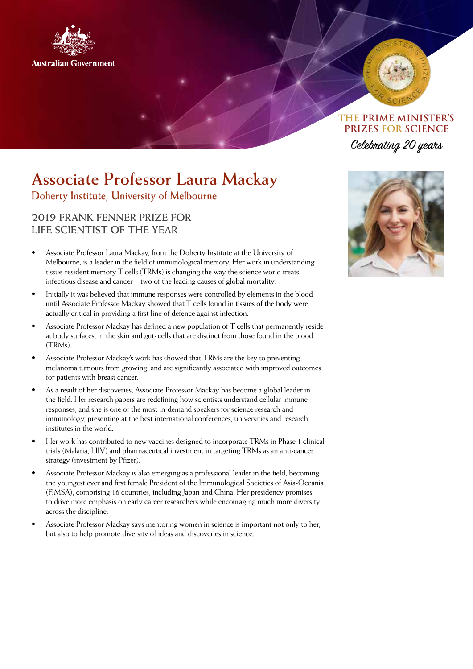

#### **THE PRIME MINISTER'S PRIZES FOR SCIENCE**

Celebrating 20 years

# **Associate Professor Laura Mackay Doherty Institute, University of Melbourne**

## **2019 FRANK FENNER PRIZE FOR LIFE SCIENTIST OF THE YEAR**

- Associate Professor Laura Mackay, from the Doherty Institute at the University of Melbourne, is a leader in the field of immunological memory. Her work in understanding tissue-resident memory T cells (TRMs) is changing the way the science world treats infectious disease and cancer—two of the leading causes of global mortality.
- Initially it was believed that immune responses were controlled by elements in the blood until Associate Professor Mackay showed that T cells found in tissues of the body were actually critical in providing a first line of defence against infection.
- Associate Professor Mackay has defined a new population of T cells that permanently reside at body surfaces, in the skin and gut; cells that are distinct from those found in the blood (TRMs).
- Associate Professor Mackay's work has showed that TRMs are the key to preventing melanoma tumours from growing, and are significantly associated with improved outcomes for patients with breast cancer.
- As a result of her discoveries, Associate Professor Mackay has become a global leader in the field. Her research papers are redefining how scientists understand cellular immune responses, and she is one of the most in-demand speakers for science research and immunology, presenting at the best international conferences, universities and research institutes in the world.
- Her work has contributed to new vaccines designed to incorporate TRMs in Phase 1 clinical trials (Malaria, HIV) and pharmaceutical investment in targeting TRMs as an anti-cancer strategy (investment by Pfizer).
- Associate Professor Mackay is also emerging as a professional leader in the field, becoming the youngest ever and first female President of the Immunological Societies of Asia-Oceania (FIMSA), comprising 16 countries, including Japan and China. Her presidency promises to drive more emphasis on early career researchers while encouraging much more diversity across the discipline.
- Associate Professor Mackay says mentoring women in science is important not only to her, but also to help promote diversity of ideas and discoveries in science.